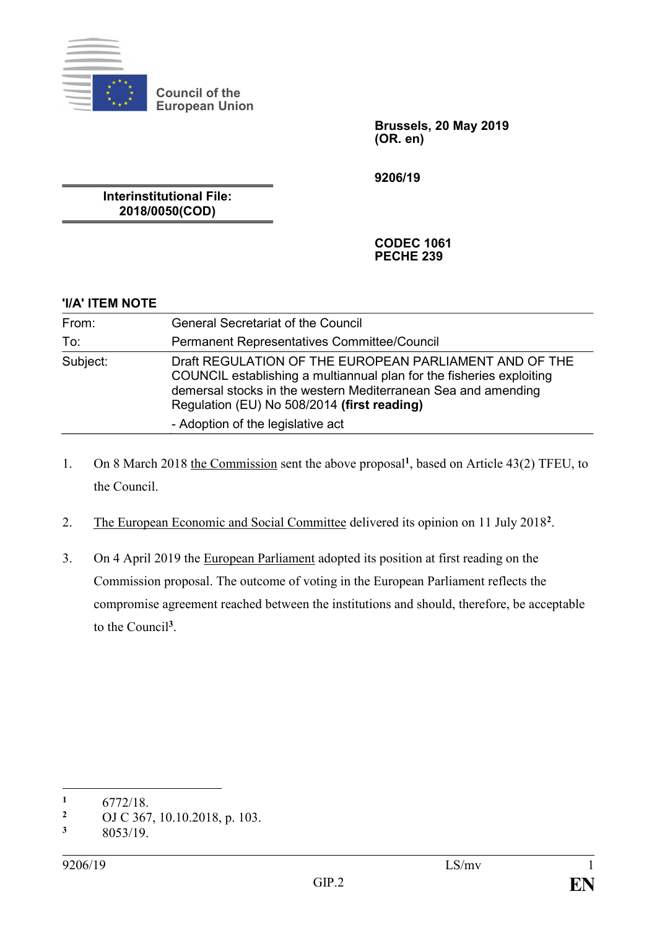

**Council of the European Union**

> **Brussels, 20 May 2019 (OR. en)**

**9206/19**

**Interinstitutional File: 2018/0050(COD)**

> **CODEC 1061 PECHE 239**

| 'I/A' ITEM NOTE |                                                                                                                                                                                                                                                                                     |
|-----------------|-------------------------------------------------------------------------------------------------------------------------------------------------------------------------------------------------------------------------------------------------------------------------------------|
| From:           | <b>General Secretariat of the Council</b>                                                                                                                                                                                                                                           |
| To:             | <b>Permanent Representatives Committee/Council</b>                                                                                                                                                                                                                                  |
| Subject:        | Draft REGULATION OF THE EUROPEAN PARLIAMENT AND OF THE<br>COUNCIL establishing a multiannual plan for the fisheries exploiting<br>demersal stocks in the western Mediterranean Sea and amending<br>Regulation (EU) No 508/2014 (first reading)<br>- Adoption of the legislative act |

- 1. On 8 March 2018 the Commission sent the above proposal<sup>1</sup>, based on Article 43(2) TFEU, to the Council.
- 2. The European Economic and Social Committee delivered its opinion on 11 July 2018<sup>2</sup>.
- 3. On 4 April 2019 the European Parliament adopted its position at first reading on the Commission proposal. The outcome of voting in the European Parliament reflects the compromise agreement reached between the institutions and should, therefore, be acceptable to the Council**<sup>3</sup>** .

<sup>&</sup>lt;u>.</u>  $\frac{1}{2}$  6772/18.

<sup>&</sup>lt;sup>2</sup> OJ C 367, 10.10.2018, p. 103.<br>3  $8053/19$ 

**<sup>3</sup>** 8053/19.